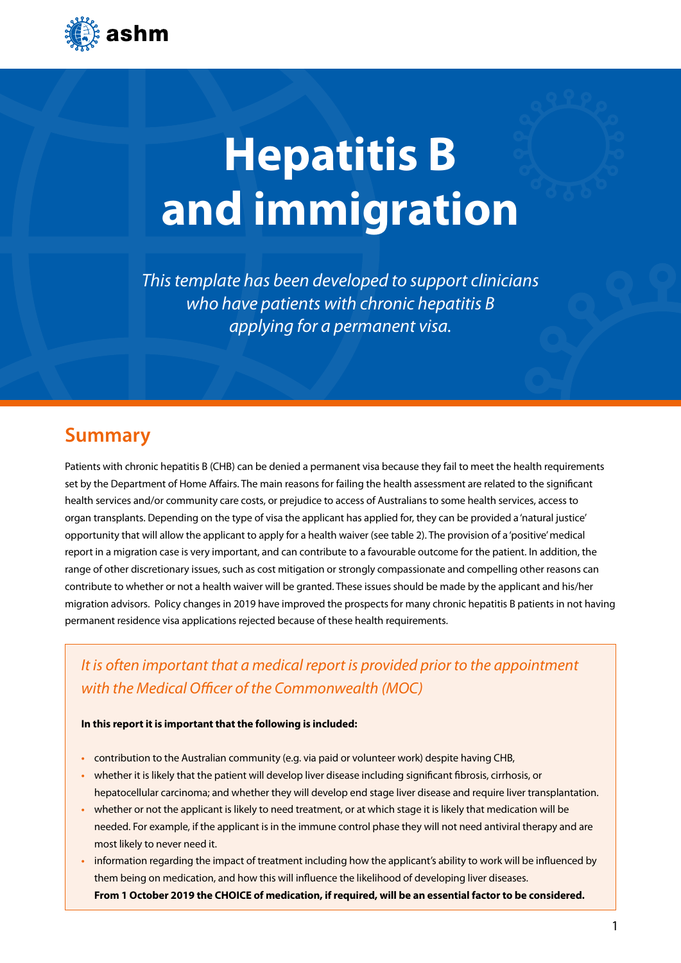

# **Hepatitis B and immigration**

*This template has been developed to support clinicians who have patients with chronic hepatitis B applying for a permanent visa.* 

# **Summary**

Patients with chronic hepatitis B (CHB) can be denied a permanent visa because they fail to meet the health requirements set by the Department of Home Affairs. The main reasons for failing the health assessment are related to the significant health services and/or community care costs, or prejudice to access of Australians to some health services, access to organ transplants. Depending on the type of visa the applicant has applied for, they can be provided a 'natural justice' opportunity that will allow the applicant to apply for a health waiver (see table 2). The provision of a 'positive' medical report in a migration case is very important, and can contribute to a favourable outcome for the patient. In addition, the range of other discretionary issues, such as cost mitigation or strongly compassionate and compelling other reasons can contribute to whether or not a health waiver will be granted. These issues should be made by the applicant and his/her migration advisors. Policy changes in 2019 have improved the prospects for many chronic hepatitis B patients in not having permanent residence visa applications rejected because of these health requirements.

*It is often important that a medical report is provided prior to the appointment with the Medical Officer of the Commonwealth (MOC)*

## **In this report it is important that the following is included:**

- **•** contribution to the Australian community (e.g. via paid or volunteer work) despite having CHB,
- **•** whether it is likely that the patient will develop liver disease including significant fibrosis, cirrhosis, or hepatocellular carcinoma; and whether they will develop end stage liver disease and require liver transplantation.
- **•** whether or not the applicant is likely to need treatment, or at which stage it is likely that medication will be needed. For example, if the applicant is in the immune control phase they will not need antiviral therapy and are most likely to never need it.
- **•** information regarding the impact of treatment including how the applicant's ability to work will be influenced by them being on medication, and how this will influence the likelihood of developing liver diseases. **From 1 October 2019 the CHOICE of medication, if required, will be an essential factor to be considered.**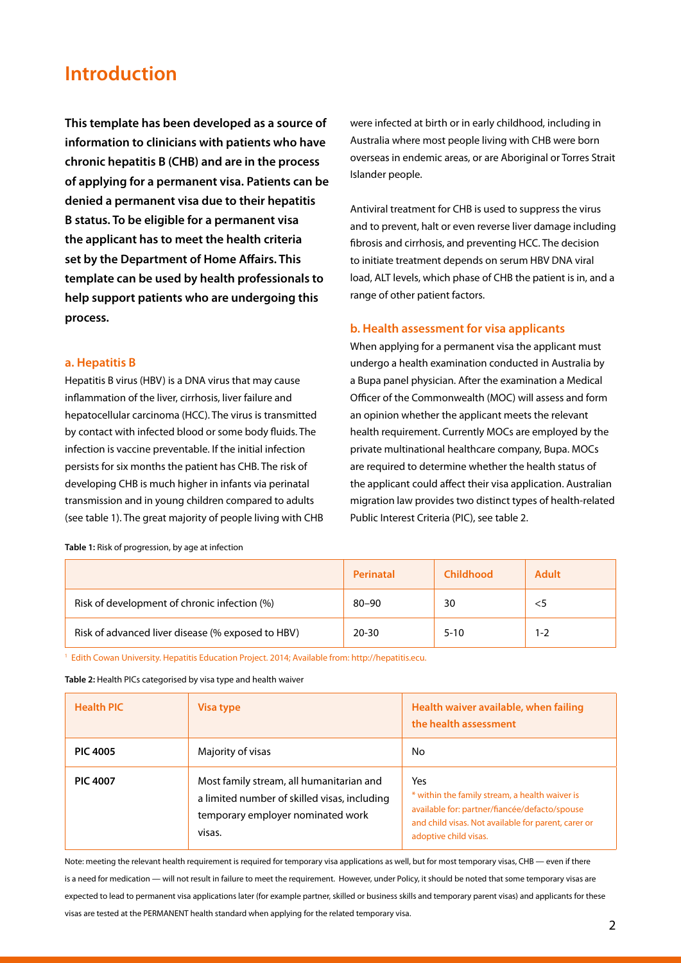# **Introduction**

**This template has been developed as a source of information to clinicians with patients who have chronic hepatitis B (CHB) and are in the process of applying for a permanent visa. Patients can be denied a permanent visa due to their hepatitis B status. To be eligible for a permanent visa the applicant has to meet the health criteria set by the Department of Home Affairs. This template can be used by health professionals to help support patients who are undergoing this process.**

## **a. Hepatitis B**

Hepatitis B virus (HBV) is a DNA virus that may cause inflammation of the liver, cirrhosis, liver failure and hepatocellular carcinoma (HCC). The virus is transmitted by contact with infected blood or some body fluids. The infection is vaccine preventable. If the initial infection persists for six months the patient has CHB. The risk of developing CHB is much higher in infants via perinatal transmission and in young children compared to adults (see table 1). The great majority of people living with CHB were infected at birth or in early childhood, including in Australia where most people living with CHB were born overseas in endemic areas, or are Aboriginal or Torres Strait Islander people.

Antiviral treatment for CHB is used to suppress the virus and to prevent, halt or even reverse liver damage including fibrosis and cirrhosis, and preventing HCC. The decision to initiate treatment depends on serum HBV DNA viral load, ALT levels, which phase of CHB the patient is in, and a range of other patient factors.

## **b. Health assessment for visa applicants**

When applying for a permanent visa the applicant must undergo a health examination conducted in Australia by a Bupa panel physician. After the examination a Medical Officer of the Commonwealth (MOC) will assess and form an opinion whether the applicant meets the relevant health requirement. Currently MOCs are employed by the private multinational healthcare company, Bupa. MOCs are required to determine whether the health status of the applicant could affect their visa application. Australian migration law provides two distinct types of health-related Public Interest Criteria (PIC), see table 2.

|                                                   | Perinatal | <b>Childhood</b> | <b>Adult</b> |
|---------------------------------------------------|-----------|------------------|--------------|
| Risk of development of chronic infection (%)      | $80 - 90$ | 30               |              |
| Risk of advanced liver disease (% exposed to HBV) | $20 - 30$ | $5 - 10$         | 1-2          |

1 Edith Cowan University. Hepatitis Education Project. 2014; Available from: http://hepatitis.ecu.

**Table 2:** Health PICs categorised by visa type and health waiver

| <b>Health PIC</b> | Visa type                                                                                                                               | Health waiver available, when failing<br>the health assessment                                                                                                                         |
|-------------------|-----------------------------------------------------------------------------------------------------------------------------------------|----------------------------------------------------------------------------------------------------------------------------------------------------------------------------------------|
| <b>PIC 4005</b>   | Majority of visas                                                                                                                       | No                                                                                                                                                                                     |
| <b>PIC 4007</b>   | Most family stream, all humanitarian and<br>a limited number of skilled visas, including<br>temporary employer nominated work<br>visas. | Yes<br>* within the family stream, a health waiver is<br>available for: partner/fiancée/defacto/spouse<br>and child visas. Not available for parent, carer or<br>adoptive child visas. |

Note: meeting the relevant health requirement is required for temporary visa applications as well, but for most temporary visas, CHB — even if there is a need for medication — will not result in failure to meet the requirement. However, under Policy, it should be noted that some temporary visas are expected to lead to permanent visa applications later (for example partner, skilled or business skills and temporary parent visas) and applicants for these visas are tested at the PERMANENT health standard when applying for the related temporary visa.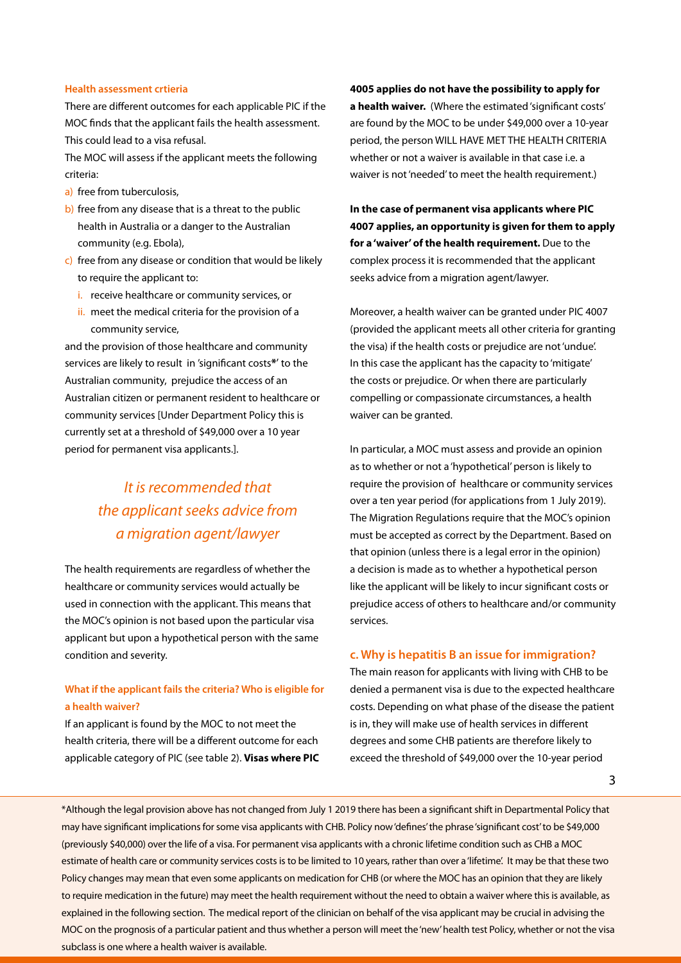#### **Health assessment crtieria**

There are different outcomes for each applicable PIC if the MOC finds that the applicant fails the health assessment. This could lead to a visa refusal.

The MOC will assess if the applicant meets the following criteria:

- a) free from tuberculosis,
- b) free from any disease that is a threat to the public health in Australia or a danger to the Australian community (e.g. Ebola),
- c) free from any disease or condition that would be likely to require the applicant to:
	- i. receive healthcare or community services, or
	- ii. meet the medical criteria for the provision of a community service,

and the provision of those healthcare and community services are likely to result in 'significant costs**\***' to the Australian community, prejudice the access of an Australian citizen or permanent resident to healthcare or community services [Under Department Policy this is currently set at a threshold of \$49,000 over a 10 year period for permanent visa applicants.].

# *It is recommended that the applicant seeks advice from a migration agent/lawyer*

The health requirements are regardless of whether the healthcare or community services would actually be used in connection with the applicant. This means that the MOC's opinion is not based upon the particular visa applicant but upon a hypothetical person with the same condition and severity.

# **What if the applicant fails the criteria? Who is eligible for a health waiver?**

If an applicant is found by the MOC to not meet the health criteria, there will be a different outcome for each applicable category of PIC (see table 2). **Visas where PIC**  **4005 applies do not have the possibility to apply for a health waiver.** (Where the estimated 'significant costs' are found by the MOC to be under \$49,000 over a 10-year period, the person WILL HAVE MET THE HEALTH CRITERIA whether or not a waiver is available in that case i.e. a waiver is not 'needed' to meet the health requirement.)

**In the case of permanent visa applicants where PIC 4007 applies, an opportunity is given for them to apply for a 'waiver' of the health requirement.** Due to the complex process it is recommended that the applicant seeks advice from a migration agent/lawyer.

Moreover, a health waiver can be granted under PIC 4007 (provided the applicant meets all other criteria for granting the visa) if the health costs or prejudice are not 'undue'. In this case the applicant has the capacity to 'mitigate' the costs or prejudice. Or when there are particularly compelling or compassionate circumstances, a health waiver can be granted.

In particular, a MOC must assess and provide an opinion as to whether or not a 'hypothetical' person is likely to require the provision of healthcare or community services over a ten year period (for applications from 1 July 2019). The Migration Regulations require that the MOC's opinion must be accepted as correct by the Department. Based on that opinion (unless there is a legal error in the opinion) a decision is made as to whether a hypothetical person like the applicant will be likely to incur significant costs or prejudice access of others to healthcare and/or community services.

#### **c. Why is hepatitis B an issue for immigration?**

The main reason for applicants with living with CHB to be denied a permanent visa is due to the expected healthcare costs. Depending on what phase of the disease the patient is in, they will make use of health services in different degrees and some CHB patients are therefore likely to exceed the threshold of \$49,000 over the 10-year period

3

MOC on the prognosis of a particular patient and thus whether a person will meet the 'new' health test Policy, whether or not the visa \*Although the legal provision above has not changed from July 1 2019 there has been a significant shift in Departmental Policy that may have significant implications for some visa applicants with CHB. Policy now 'defines' the phrase 'significant cost' to be \$49,000 (previously \$40,000) over the life of a visa. For permanent visa applicants with a chronic lifetime condition such as CHB a MOC estimate of health care or community services costs is to be limited to 10 years, rather than over a 'lifetime'. It may be that these two Policy changes may mean that even some applicants on medication for CHB (or where the MOC has an opinion that they are likely to require medication in the future) may meet the health requirement without the need to obtain a waiver where this is available, as explained in the following section. The medical report of the clinician on behalf of the visa applicant may be crucial in advising the subclass is one where a health waiver is available.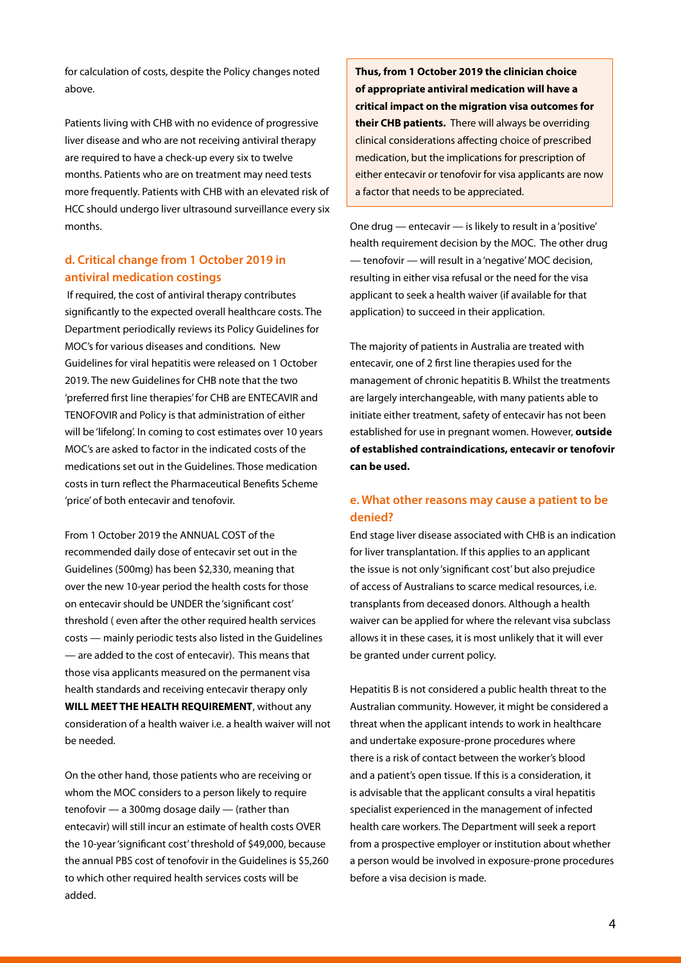for calculation of costs, despite the Policy changes noted above.

Patients living with CHB with no evidence of progressive liver disease and who are not receiving antiviral therapy are required to have a check-up every six to twelve months. Patients who are on treatment may need tests more frequently. Patients with CHB with an elevated risk of HCC should undergo liver ultrasound surveillance every six months.

# **d. Critical change from 1 October 2019 in antiviral medication costings**

 If required, the cost of antiviral therapy contributes significantly to the expected overall healthcare costs. The Department periodically reviews its Policy Guidelines for MOC's for various diseases and conditions. New Guidelines for viral hepatitis were released on 1 October 2019. The new Guidelines for CHB note that the two 'preferred first line therapies' for CHB are ENTECAVIR and TENOFOVIR and Policy is that administration of either will be 'lifelong'. In coming to cost estimates over 10 years MOC's are asked to factor in the indicated costs of the medications set out in the Guidelines. Those medication costs in turn reflect the Pharmaceutical Benefits Scheme 'price' of both entecavir and tenofovir.

From 1 October 2019 the ANNUAL COST of the recommended daily dose of entecavir set out in the Guidelines (500mg) has been \$2,330, meaning that over the new 10-year period the health costs for those on entecavir should be UNDER the 'significant cost' threshold ( even after the other required health services costs — mainly periodic tests also listed in the Guidelines — are added to the cost of entecavir). This means that those visa applicants measured on the permanent visa health standards and receiving entecavir therapy only **WILL MEET THE HEALTH REQUIREMENT**, without any consideration of a health waiver i.e. a health waiver will not be needed.

On the other hand, those patients who are receiving or whom the MOC considers to a person likely to require tenofovir — a 300mg dosage daily — (rather than entecavir) will still incur an estimate of health costs OVER the 10-year 'significant cost' threshold of \$49,000, because the annual PBS cost of tenofovir in the Guidelines is \$5,260 to which other required health services costs will be added.

**Thus, from 1 October 2019 the clinician choice of appropriate antiviral medication will have a critical impact on the migration visa outcomes for their CHB patients.** There will always be overriding clinical considerations affecting choice of prescribed medication, but the implications for prescription of either entecavir or tenofovir for visa applicants are now a factor that needs to be appreciated.

One drug — entecavir — is likely to result in a 'positive' health requirement decision by the MOC. The other drug — tenofovir — will result in a 'negative' MOC decision, resulting in either visa refusal or the need for the visa applicant to seek a health waiver (if available for that application) to succeed in their application.

The majority of patients in Australia are treated with entecavir, one of 2 first line therapies used for the management of chronic hepatitis B. Whilst the treatments are largely interchangeable, with many patients able to initiate either treatment, safety of entecavir has not been established for use in pregnant women. However, **outside of established contraindications, entecavir or tenofovir can be used.**

# **e. What other reasons may cause a patient to be denied?**

End stage liver disease associated with CHB is an indication for liver transplantation. If this applies to an applicant the issue is not only 'significant cost' but also prejudice of access of Australians to scarce medical resources, i.e. transplants from deceased donors. Although a health waiver can be applied for where the relevant visa subclass allows it in these cases, it is most unlikely that it will ever be granted under current policy.

Hepatitis B is not considered a public health threat to the Australian community. However, it might be considered a threat when the applicant intends to work in healthcare and undertake exposure-prone procedures where there is a risk of contact between the worker's blood and a patient's open tissue. If this is a consideration, it is advisable that the applicant consults a viral hepatitis specialist experienced in the management of infected health care workers. The Department will seek a report from a prospective employer or institution about whether a person would be involved in exposure-prone procedures before a visa decision is made.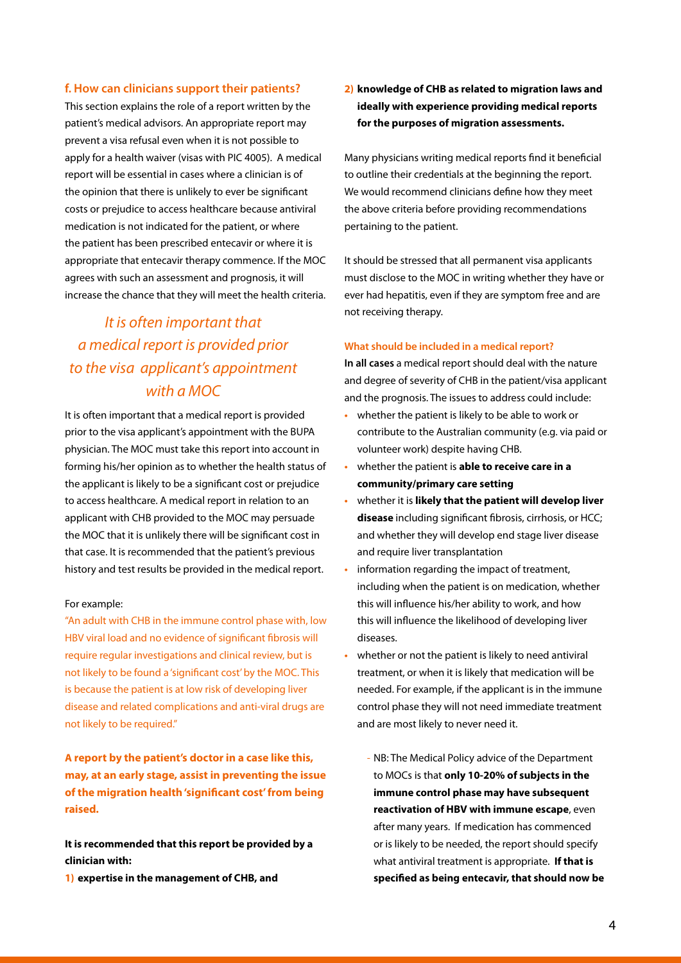## **f. How can clinicians support their patients?**

This section explains the role of a report written by the patient's medical advisors. An appropriate report may prevent a visa refusal even when it is not possible to apply for a health waiver (visas with PIC 4005). A medical report will be essential in cases where a clinician is of the opinion that there is unlikely to ever be significant costs or prejudice to access healthcare because antiviral medication is not indicated for the patient, or where the patient has been prescribed entecavir or where it is appropriate that entecavir therapy commence. If the MOC agrees with such an assessment and prognosis, it will increase the chance that they will meet the health criteria.

# *It is often important that a medical report is provided prior to the visa applicant's appointment with a MOC*

It is often important that a medical report is provided prior to the visa applicant's appointment with the BUPA physician. The MOC must take this report into account in forming his/her opinion as to whether the health status of the applicant is likely to be a significant cost or prejudice to access healthcare. A medical report in relation to an applicant with CHB provided to the MOC may persuade the MOC that it is unlikely there will be significant cost in that case. It is recommended that the patient's previous history and test results be provided in the medical report.

#### For example:

"An adult with CHB in the immune control phase with, low HBV viral load and no evidence of significant fibrosis will require regular investigations and clinical review, but is not likely to be found a 'significant cost' by the MOC. This is because the patient is at low risk of developing liver disease and related complications and anti-viral drugs are not likely to be required."

**A report by the patient's doctor in a case like this, may, at an early stage, assist in preventing the issue of the migration health 'significant cost' from being raised.**

**It is recommended that this report be provided by a clinician with:** 

**1) expertise in the management of CHB, and**

# **2) knowledge of CHB as related to migration laws and ideally with experience providing medical reports for the purposes of migration assessments.**

Many physicians writing medical reports find it beneficial to outline their credentials at the beginning the report. We would recommend clinicians define how they meet the above criteria before providing recommendations pertaining to the patient.

It should be stressed that all permanent visa applicants must disclose to the MOC in writing whether they have or ever had hepatitis, even if they are symptom free and are not receiving therapy.

#### **What should be included in a medical report?**

**In all cases** a medical report should deal with the nature and degree of severity of CHB in the patient/visa applicant and the prognosis. The issues to address could include:

- **•** whether the patient is likely to be able to work or contribute to the Australian community (e.g. via paid or volunteer work) despite having CHB.
- **•** whether the patient is **able to receive care in a community/primary care setting**
- **•** whether it is **likely that the patient will develop liver disease** including significant fibrosis, cirrhosis, or HCC; and whether they will develop end stage liver disease and require liver transplantation
- **•** information regarding the impact of treatment, including when the patient is on medication, whether this will influence his/her ability to work, and how this will influence the likelihood of developing liver diseases.
- **•** whether or not the patient is likely to need antiviral treatment, or when it is likely that medication will be needed. For example, if the applicant is in the immune control phase they will not need immediate treatment and are most likely to never need it.
	- NB: The Medical Policy advice of the Department to MOCs is that **only 10-20% of subjects in the immune control phase may have subsequent reactivation of HBV with immune escape**, even after many years. If medication has commenced or is likely to be needed, the report should specify what antiviral treatment is appropriate. **If that is specified as being entecavir, that should now be**